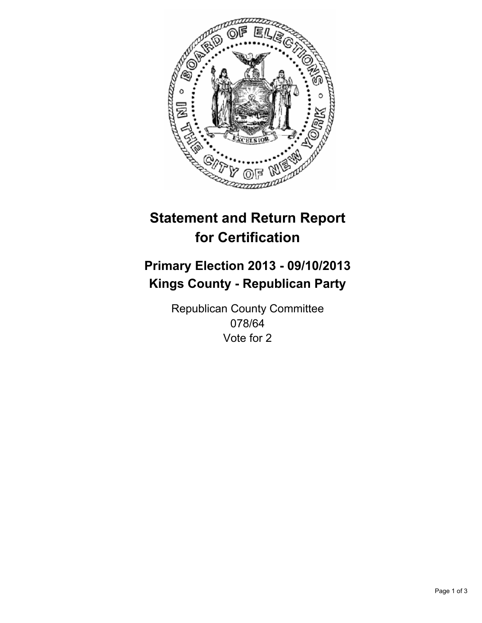

# **Statement and Return Report for Certification**

# **Primary Election 2013 - 09/10/2013 Kings County - Republican Party**

Republican County Committee 078/64 Vote for 2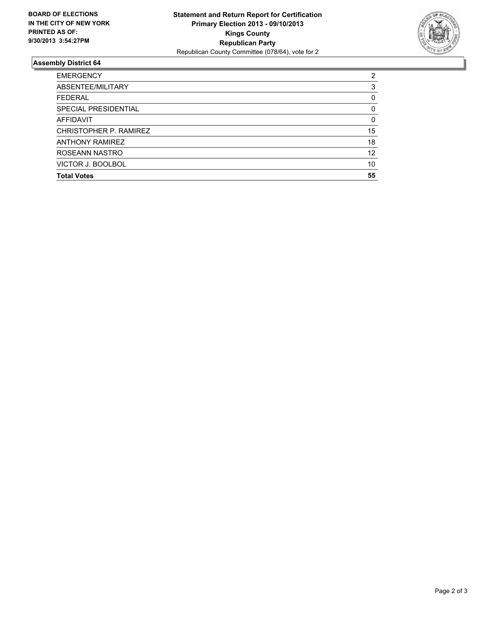

## **Assembly District 64**

| <b>EMERGENCY</b>       | 2  |
|------------------------|----|
| ABSENTEE/MILITARY      | 3  |
| <b>FEDERAL</b>         | 0  |
| SPECIAL PRESIDENTIAL   | 0  |
| AFFIDAVIT              | 0  |
| CHRISTOPHER P. RAMIREZ | 15 |
| <b>ANTHONY RAMIREZ</b> | 18 |
| ROSEANN NASTRO         | 12 |
| VICTOR J. BOOLBOL      | 10 |
| <b>Total Votes</b>     | 55 |
|                        |    |